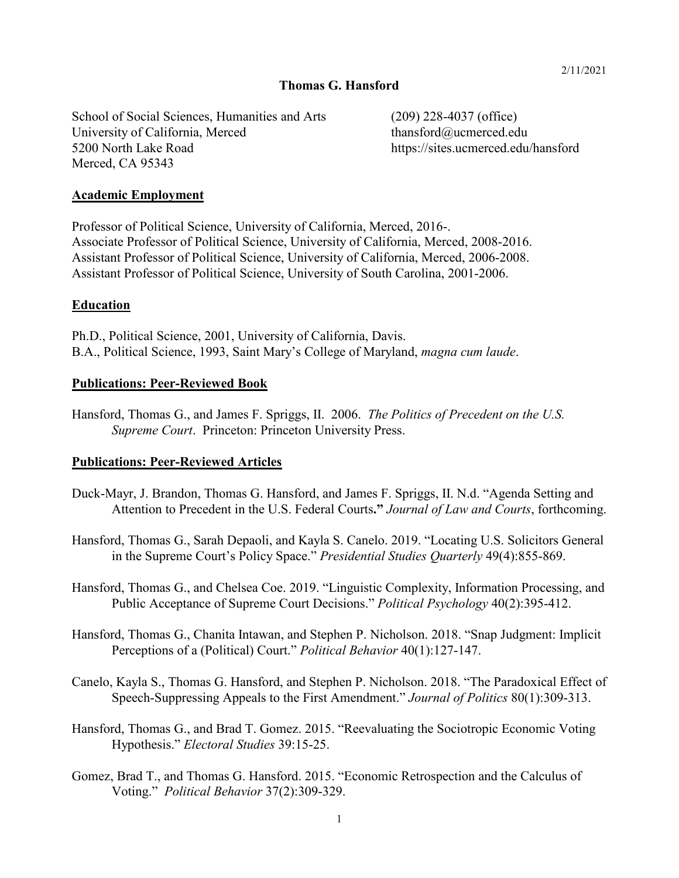#### **Thomas G. Hansford**

School of Social Sciences, Humanities and Arts (209) 228-4037 (office) University of California, Merced thansford@ucmerced.edu 5200 North Lake Road https://sites.ucmerced.edu/hansford Merced, CA 95343

#### **Academic Employment**

Professor of Political Science, University of California, Merced, 2016-. Associate Professor of Political Science, University of California, Merced, 2008-2016. Assistant Professor of Political Science, University of California, Merced, 2006-2008. Assistant Professor of Political Science, University of South Carolina, 2001-2006.

#### **Education**

Ph.D., Political Science, 2001, University of California, Davis. B.A., Political Science, 1993, Saint Mary's College of Maryland, *magna cum laude*.

#### **Publications: Peer-Reviewed Book**

Hansford, Thomas G., and James F. Spriggs, II. 2006. *The Politics of Precedent on the U.S. Supreme Court*. Princeton: Princeton University Press.

#### **Publications: Peer-Reviewed Articles**

- Duck-Mayr, J. Brandon, Thomas G. Hansford, and James F. Spriggs, II. N.d. "Agenda Setting and Attention to Precedent in the U.S. Federal Courts**."** *Journal of Law and Courts*, forthcoming.
- Hansford, Thomas G., Sarah Depaoli, and Kayla S. Canelo. 2019. "Locating U.S. Solicitors General in the Supreme Court's Policy Space." *Presidential Studies Quarterly* 49(4):855-869.
- Hansford, Thomas G., and Chelsea Coe. 2019. "Linguistic Complexity, Information Processing, and Public Acceptance of Supreme Court Decisions." *Political Psychology* 40(2):395-412.
- Hansford, Thomas G., Chanita Intawan, and Stephen P. Nicholson. 2018. "Snap Judgment: Implicit Perceptions of a (Political) Court." *Political Behavior* 40(1):127-147.
- Canelo, Kayla S., Thomas G. Hansford, and Stephen P. Nicholson. 2018. "The Paradoxical Effect of Speech-Suppressing Appeals to the First Amendment." *Journal of Politics* 80(1):309-313.
- Hansford, Thomas G., and Brad T. Gomez. 2015. "Reevaluating the Sociotropic Economic Voting Hypothesis." *Electoral Studies* 39:15-25.
- Gomez, Brad T., and Thomas G. Hansford. 2015. "Economic Retrospection and the Calculus of Voting." *Political Behavior* 37(2):309-329.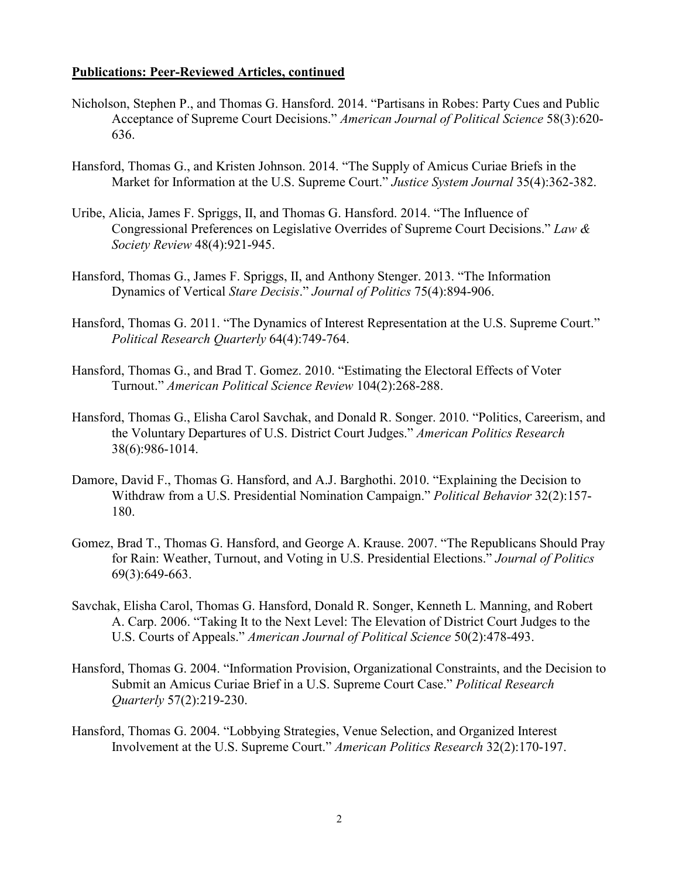#### **Publications: Peer-Reviewed Articles, continued**

- Nicholson, Stephen P., and Thomas G. Hansford. 2014. "Partisans in Robes: Party Cues and Public Acceptance of Supreme Court Decisions." *American Journal of Political Science* 58(3):620- 636.
- Hansford, Thomas G., and Kristen Johnson. 2014. "The Supply of Amicus Curiae Briefs in the Market for Information at the U.S. Supreme Court." *Justice System Journal* 35(4):362-382.
- Uribe, Alicia, James F. Spriggs, II, and Thomas G. Hansford. 2014. "The Influence of Congressional Preferences on Legislative Overrides of Supreme Court Decisions." *Law & Society Review* 48(4):921-945.
- Hansford, Thomas G., James F. Spriggs, II, and Anthony Stenger. 2013. "The Information Dynamics of Vertical *Stare Decisis*." *Journal of Politics* 75(4):894-906.
- Hansford, Thomas G. 2011. "The Dynamics of Interest Representation at the U.S. Supreme Court." *Political Research Quarterly* 64(4):749-764.
- Hansford, Thomas G., and Brad T. Gomez. 2010. "Estimating the Electoral Effects of Voter Turnout." *American Political Science Review* 104(2):268-288.
- Hansford, Thomas G., Elisha Carol Savchak, and Donald R. Songer. 2010. "Politics, Careerism, and the Voluntary Departures of U.S. District Court Judges." *American Politics Research* 38(6):986-1014.
- Damore, David F., Thomas G. Hansford, and A.J. Barghothi. 2010. "Explaining the Decision to Withdraw from a U.S. Presidential Nomination Campaign." *Political Behavior* 32(2):157- 180.
- Gomez, Brad T., Thomas G. Hansford, and George A. Krause. 2007. "The Republicans Should Pray for Rain: Weather, Turnout, and Voting in U.S. Presidential Elections." *Journal of Politics* 69(3):649-663.
- Savchak, Elisha Carol, Thomas G. Hansford, Donald R. Songer, Kenneth L. Manning, and Robert A. Carp. 2006. "Taking It to the Next Level: The Elevation of District Court Judges to the U.S. Courts of Appeals." *American Journal of Political Science* 50(2):478-493.
- Hansford, Thomas G. 2004. "Information Provision, Organizational Constraints, and the Decision to Submit an Amicus Curiae Brief in a U.S. Supreme Court Case." *Political Research Quarterly* 57(2):219-230.
- Hansford, Thomas G. 2004. "Lobbying Strategies, Venue Selection, and Organized Interest Involvement at the U.S. Supreme Court." *American Politics Research* 32(2):170-197.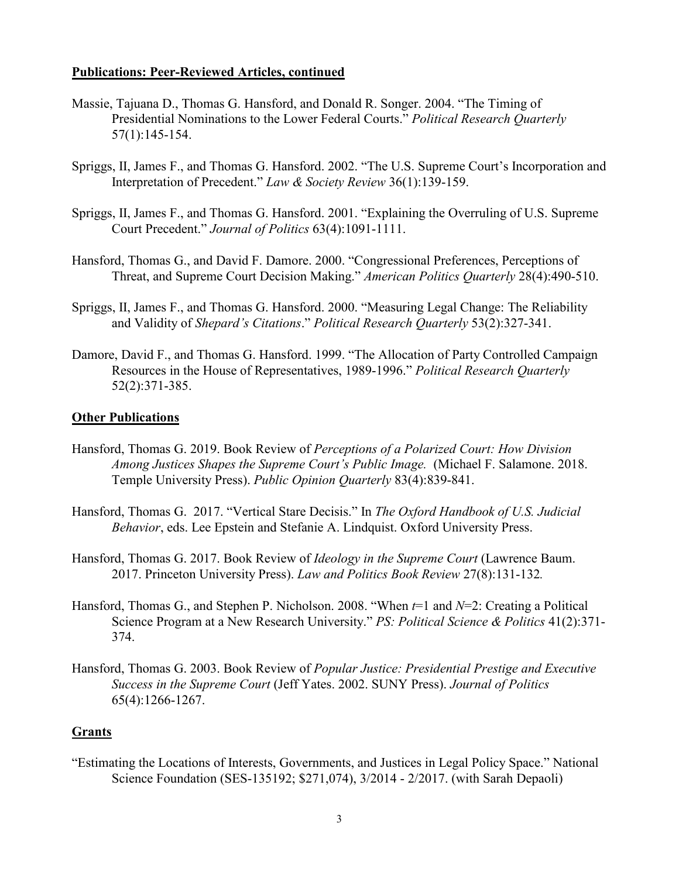#### **Publications: Peer-Reviewed Articles, continued**

- Massie, Tajuana D., Thomas G. Hansford, and Donald R. Songer. 2004. "The Timing of Presidential Nominations to the Lower Federal Courts." *Political Research Quarterly* 57(1):145-154.
- Spriggs, II, James F., and Thomas G. Hansford. 2002. "The U.S. Supreme Court's Incorporation and Interpretation of Precedent." *Law & Society Review* 36(1):139-159.
- Spriggs, II, James F., and Thomas G. Hansford. 2001. "Explaining the Overruling of U.S. Supreme Court Precedent." *Journal of Politics* 63(4):1091-1111.
- Hansford, Thomas G., and David F. Damore. 2000. "Congressional Preferences, Perceptions of Threat, and Supreme Court Decision Making." *American Politics Quarterly* 28(4):490-510.
- Spriggs, II, James F., and Thomas G. Hansford. 2000. "Measuring Legal Change: The Reliability and Validity of *Shepard's Citations*." *Political Research Quarterly* 53(2):327-341.
- Damore, David F., and Thomas G. Hansford. 1999. "The Allocation of Party Controlled Campaign Resources in the House of Representatives, 1989-1996." *Political Research Quarterly* 52(2):371-385.

#### **Other Publications**

- Hansford, Thomas G. 2019. Book Review of *Perceptions of a Polarized Court: How Division Among Justices Shapes the Supreme Court's Public Image.* (Michael F. Salamone. 2018. Temple University Press). *Public Opinion Quarterly* 83(4):839-841.
- Hansford, Thomas G. 2017. "Vertical Stare Decisis." In *The Oxford Handbook of U.S. Judicial Behavior*, eds. Lee Epstein and Stefanie A. Lindquist. Oxford University Press.
- Hansford, Thomas G. 2017. Book Review of *Ideology in the Supreme Court* (Lawrence Baum. 2017. Princeton University Press). *Law and Politics Book Review* 27(8):131-132*.*
- Hansford, Thomas G., and Stephen P. Nicholson. 2008. "When *t*=1 and *N*=2: Creating a Political Science Program at a New Research University." *PS: Political Science & Politics* 41(2):371- 374.
- Hansford, Thomas G. 2003. Book Review of *Popular Justice: Presidential Prestige and Executive Success in the Supreme Court* (Jeff Yates. 2002. SUNY Press). *Journal of Politics* 65(4):1266-1267.

#### **Grants**

"Estimating the Locations of Interests, Governments, and Justices in Legal Policy Space." National Science Foundation (SES-135192; \$271,074), 3/2014 - 2/2017. (with Sarah Depaoli)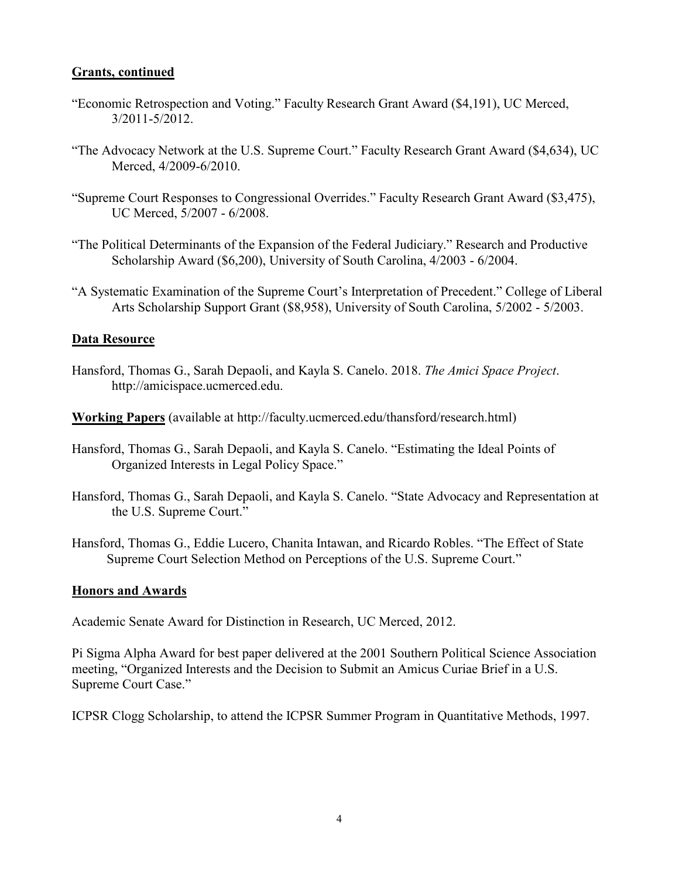#### **Grants, continued**

- "Economic Retrospection and Voting." Faculty Research Grant Award (\$4,191), UC Merced, 3/2011-5/2012.
- "The Advocacy Network at the U.S. Supreme Court." Faculty Research Grant Award (\$4,634), UC Merced, 4/2009-6/2010.
- "Supreme Court Responses to Congressional Overrides." Faculty Research Grant Award (\$3,475), UC Merced, 5/2007 - 6/2008.
- "The Political Determinants of the Expansion of the Federal Judiciary." Research and Productive Scholarship Award (\$6,200), University of South Carolina, 4/2003 - 6/2004.
- "A Systematic Examination of the Supreme Court's Interpretation of Precedent." College of Liberal Arts Scholarship Support Grant (\$8,958), University of South Carolina, 5/2002 - 5/2003.

#### **Data Resource**

Hansford, Thomas G., Sarah Depaoli, and Kayla S. Canelo. 2018. *The Amici Space Project*. http://amicispace.ucmerced.edu.

**Working Papers** (available at http://faculty.ucmerced.edu/thansford/research.html)

- Hansford, Thomas G., Sarah Depaoli, and Kayla S. Canelo. "Estimating the Ideal Points of Organized Interests in Legal Policy Space."
- Hansford, Thomas G., Sarah Depaoli, and Kayla S. Canelo. "State Advocacy and Representation at the U.S. Supreme Court."
- Hansford, Thomas G., Eddie Lucero, Chanita Intawan, and Ricardo Robles. "The Effect of State Supreme Court Selection Method on Perceptions of the U.S. Supreme Court."

#### **Honors and Awards**

Academic Senate Award for Distinction in Research, UC Merced, 2012.

Pi Sigma Alpha Award for best paper delivered at the 2001 Southern Political Science Association meeting, "Organized Interests and the Decision to Submit an Amicus Curiae Brief in a U.S. Supreme Court Case."

ICPSR Clogg Scholarship, to attend the ICPSR Summer Program in Quantitative Methods, 1997.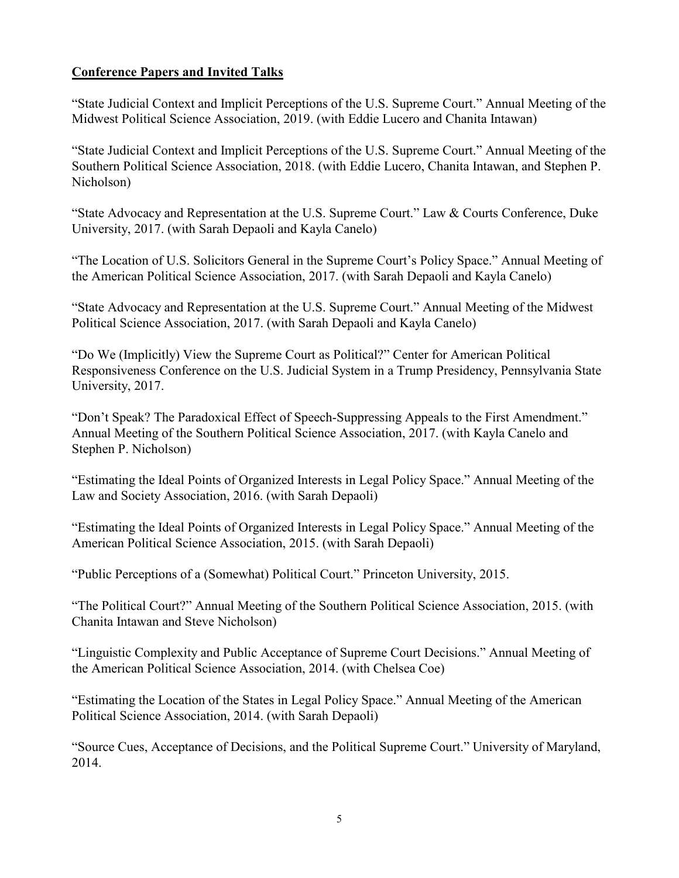# **Conference Papers and Invited Talks**

"State Judicial Context and Implicit Perceptions of the U.S. Supreme Court." Annual Meeting of the Midwest Political Science Association, 2019. (with Eddie Lucero and Chanita Intawan)

"State Judicial Context and Implicit Perceptions of the U.S. Supreme Court." Annual Meeting of the Southern Political Science Association, 2018. (with Eddie Lucero, Chanita Intawan, and Stephen P. Nicholson)

"State Advocacy and Representation at the U.S. Supreme Court." Law & Courts Conference, Duke University, 2017. (with Sarah Depaoli and Kayla Canelo)

"The Location of U.S. Solicitors General in the Supreme Court's Policy Space." Annual Meeting of the American Political Science Association, 2017. (with Sarah Depaoli and Kayla Canelo)

"State Advocacy and Representation at the U.S. Supreme Court." Annual Meeting of the Midwest Political Science Association, 2017. (with Sarah Depaoli and Kayla Canelo)

"Do We (Implicitly) View the Supreme Court as Political?" Center for American Political Responsiveness Conference on the U.S. Judicial System in a Trump Presidency, Pennsylvania State University, 2017.

"Don't Speak? The Paradoxical Effect of Speech-Suppressing Appeals to the First Amendment." Annual Meeting of the Southern Political Science Association, 2017. (with Kayla Canelo and Stephen P. Nicholson)

"Estimating the Ideal Points of Organized Interests in Legal Policy Space." Annual Meeting of the Law and Society Association, 2016. (with Sarah Depaoli)

"Estimating the Ideal Points of Organized Interests in Legal Policy Space." Annual Meeting of the American Political Science Association, 2015. (with Sarah Depaoli)

"Public Perceptions of a (Somewhat) Political Court." Princeton University, 2015.

"The Political Court?" Annual Meeting of the Southern Political Science Association, 2015. (with Chanita Intawan and Steve Nicholson)

"Linguistic Complexity and Public Acceptance of Supreme Court Decisions." Annual Meeting of the American Political Science Association, 2014. (with Chelsea Coe)

"Estimating the Location of the States in Legal Policy Space." Annual Meeting of the American Political Science Association, 2014. (with Sarah Depaoli)

"Source Cues, Acceptance of Decisions, and the Political Supreme Court." University of Maryland, 2014.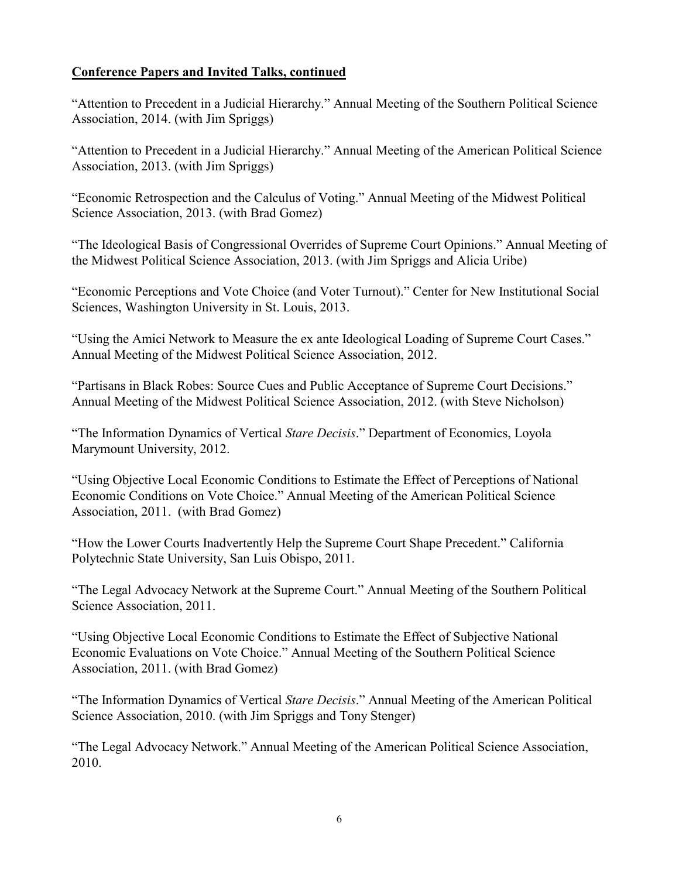"Attention to Precedent in a Judicial Hierarchy." Annual Meeting of the Southern Political Science Association, 2014. (with Jim Spriggs)

"Attention to Precedent in a Judicial Hierarchy." Annual Meeting of the American Political Science Association, 2013. (with Jim Spriggs)

"Economic Retrospection and the Calculus of Voting." Annual Meeting of the Midwest Political Science Association, 2013. (with Brad Gomez)

"The Ideological Basis of Congressional Overrides of Supreme Court Opinions." Annual Meeting of the Midwest Political Science Association, 2013. (with Jim Spriggs and Alicia Uribe)

"Economic Perceptions and Vote Choice (and Voter Turnout)." Center for New Institutional Social Sciences, Washington University in St. Louis, 2013.

"Using the Amici Network to Measure the ex ante Ideological Loading of Supreme Court Cases." Annual Meeting of the Midwest Political Science Association, 2012.

"Partisans in Black Robes: Source Cues and Public Acceptance of Supreme Court Decisions." Annual Meeting of the Midwest Political Science Association, 2012. (with Steve Nicholson)

"The Information Dynamics of Vertical *Stare Decisis*." Department of Economics, Loyola Marymount University, 2012.

"Using Objective Local Economic Conditions to Estimate the Effect of Perceptions of National Economic Conditions on Vote Choice." Annual Meeting of the American Political Science Association, 2011. (with Brad Gomez)

"How the Lower Courts Inadvertently Help the Supreme Court Shape Precedent." California Polytechnic State University, San Luis Obispo, 2011.

"The Legal Advocacy Network at the Supreme Court." Annual Meeting of the Southern Political Science Association, 2011.

"Using Objective Local Economic Conditions to Estimate the Effect of Subjective National Economic Evaluations on Vote Choice." Annual Meeting of the Southern Political Science Association, 2011. (with Brad Gomez)

"The Information Dynamics of Vertical *Stare Decisis*." Annual Meeting of the American Political Science Association, 2010. (with Jim Spriggs and Tony Stenger)

"The Legal Advocacy Network." Annual Meeting of the American Political Science Association, 2010.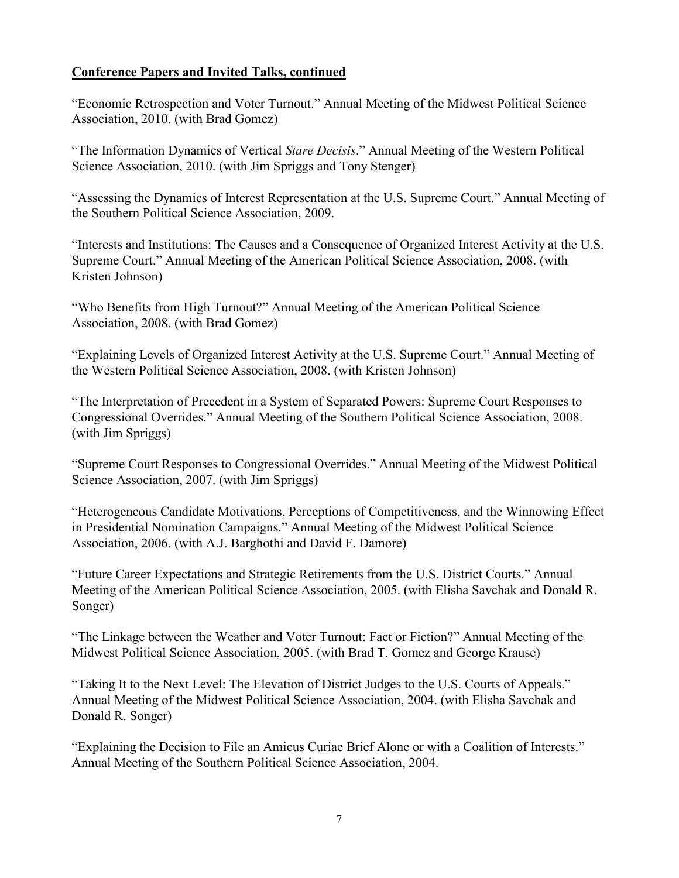"Economic Retrospection and Voter Turnout." Annual Meeting of the Midwest Political Science Association, 2010. (with Brad Gomez)

"The Information Dynamics of Vertical *Stare Decisis*." Annual Meeting of the Western Political Science Association, 2010. (with Jim Spriggs and Tony Stenger)

"Assessing the Dynamics of Interest Representation at the U.S. Supreme Court." Annual Meeting of the Southern Political Science Association, 2009.

"Interests and Institutions: The Causes and a Consequence of Organized Interest Activity at the U.S. Supreme Court." Annual Meeting of the American Political Science Association, 2008. (with Kristen Johnson)

"Who Benefits from High Turnout?" Annual Meeting of the American Political Science Association, 2008. (with Brad Gomez)

"Explaining Levels of Organized Interest Activity at the U.S. Supreme Court." Annual Meeting of the Western Political Science Association, 2008. (with Kristen Johnson)

"The Interpretation of Precedent in a System of Separated Powers: Supreme Court Responses to Congressional Overrides." Annual Meeting of the Southern Political Science Association, 2008. (with Jim Spriggs)

"Supreme Court Responses to Congressional Overrides." Annual Meeting of the Midwest Political Science Association, 2007. (with Jim Spriggs)

"Heterogeneous Candidate Motivations, Perceptions of Competitiveness, and the Winnowing Effect in Presidential Nomination Campaigns." Annual Meeting of the Midwest Political Science Association, 2006. (with A.J. Barghothi and David F. Damore)

"Future Career Expectations and Strategic Retirements from the U.S. District Courts." Annual Meeting of the American Political Science Association, 2005. (with Elisha Savchak and Donald R. Songer)

"The Linkage between the Weather and Voter Turnout: Fact or Fiction?" Annual Meeting of the Midwest Political Science Association, 2005. (with Brad T. Gomez and George Krause)

"Taking It to the Next Level: The Elevation of District Judges to the U.S. Courts of Appeals." Annual Meeting of the Midwest Political Science Association, 2004. (with Elisha Savchak and Donald R. Songer)

"Explaining the Decision to File an Amicus Curiae Brief Alone or with a Coalition of Interests." Annual Meeting of the Southern Political Science Association, 2004.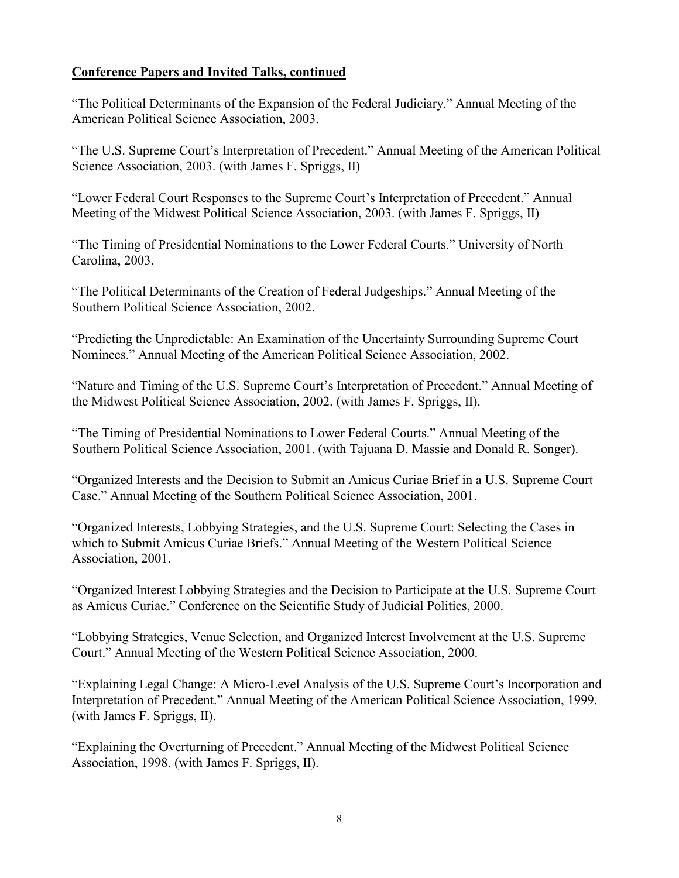"The Political Determinants of the Expansion of the Federal Judiciary." Annual Meeting of the American Political Science Association, 2003.

"The U.S. Supreme Court's Interpretation of Precedent." Annual Meeting of the American Political Science Association, 2003. (with James F. Spriggs, II)

"Lower Federal Court Responses to the Supreme Court's Interpretation of Precedent." Annual Meeting of the Midwest Political Science Association, 2003. (with James F. Spriggs, II)

"The Timing of Presidential Nominations to the Lower Federal Courts." University of North Carolina, 2003.

"The Political Determinants of the Creation of Federal Judgeships." Annual Meeting of the Southern Political Science Association, 2002.

"Predicting the Unpredictable: An Examination of the Uncertainty Surrounding Supreme Court Nominees." Annual Meeting of the American Political Science Association, 2002.

"Nature and Timing of the U.S. Supreme Court's Interpretation of Precedent." Annual Meeting of the Midwest Political Science Association, 2002. (with James F. Spriggs, II).

"The Timing of Presidential Nominations to Lower Federal Courts." Annual Meeting of the Southern Political Science Association, 2001. (with Tajuana D. Massie and Donald R. Songer).

"Organized Interests and the Decision to Submit an Amicus Curiae Brief in a U.S. Supreme Court Case." Annual Meeting of the Southern Political Science Association, 2001.

"Organized Interests, Lobbying Strategies, and the U.S. Supreme Court: Selecting the Cases in which to Submit Amicus Curiae Briefs." Annual Meeting of the Western Political Science Association, 2001.

"Organized Interest Lobbying Strategies and the Decision to Participate at the U.S. Supreme Court as Amicus Curiae." Conference on the Scientific Study of Judicial Politics, 2000.

"Lobbying Strategies, Venue Selection, and Organized Interest Involvement at the U.S. Supreme Court." Annual Meeting of the Western Political Science Association, 2000.

"Explaining Legal Change: A Micro-Level Analysis of the U.S. Supreme Court's Incorporation and Interpretation of Precedent." Annual Meeting of the American Political Science Association, 1999. (with James F. Spriggs, II).

"Explaining the Overturning of Precedent." Annual Meeting of the Midwest Political Science Association, 1998. (with James F. Spriggs, II).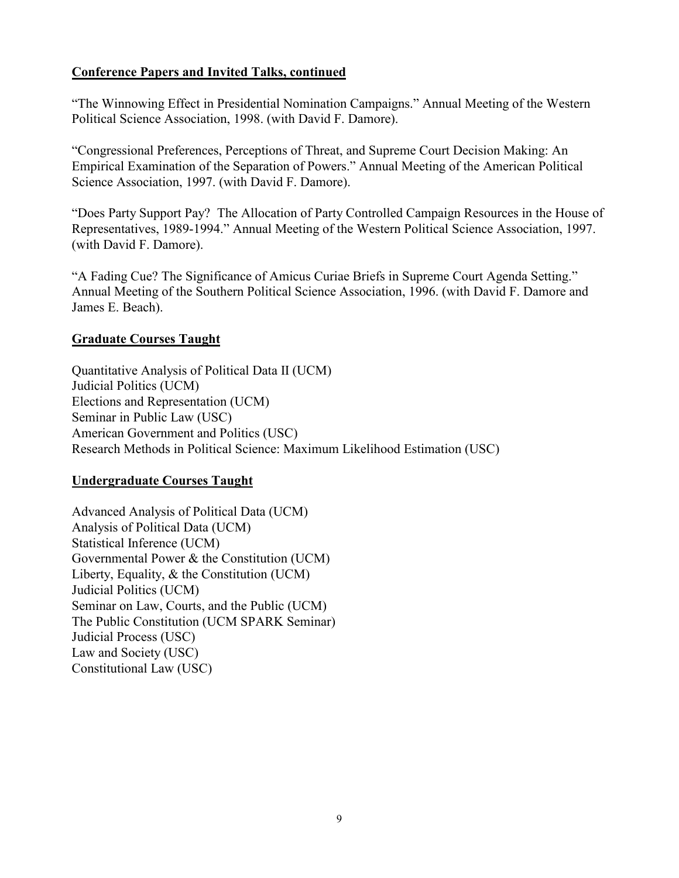"The Winnowing Effect in Presidential Nomination Campaigns." Annual Meeting of the Western Political Science Association, 1998. (with David F. Damore).

"Congressional Preferences, Perceptions of Threat, and Supreme Court Decision Making: An Empirical Examination of the Separation of Powers." Annual Meeting of the American Political Science Association, 1997. (with David F. Damore).

"Does Party Support Pay? The Allocation of Party Controlled Campaign Resources in the House of Representatives, 1989-1994." Annual Meeting of the Western Political Science Association, 1997. (with David F. Damore).

"A Fading Cue? The Significance of Amicus Curiae Briefs in Supreme Court Agenda Setting." Annual Meeting of the Southern Political Science Association, 1996. (with David F. Damore and James E. Beach).

## **Graduate Courses Taught**

Quantitative Analysis of Political Data II (UCM) Judicial Politics (UCM) Elections and Representation (UCM) Seminar in Public Law (USC) American Government and Politics (USC) Research Methods in Political Science: Maximum Likelihood Estimation (USC)

# **Undergraduate Courses Taught**

Advanced Analysis of Political Data (UCM) Analysis of Political Data (UCM) Statistical Inference (UCM) Governmental Power & the Constitution (UCM) Liberty, Equality, & the Constitution (UCM) Judicial Politics (UCM) Seminar on Law, Courts, and the Public (UCM) The Public Constitution (UCM SPARK Seminar) Judicial Process (USC) Law and Society (USC) Constitutional Law (USC)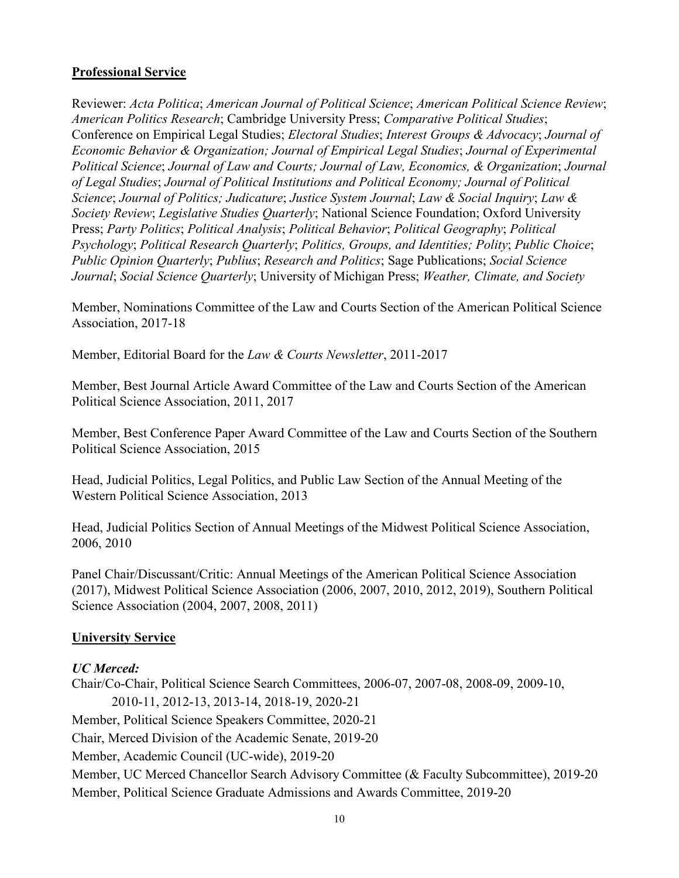## **Professional Service**

Reviewer: *Acta Politica*; *American Journal of Political Science*; *American Political Science Review*; *American Politics Research*; Cambridge University Press; *Comparative Political Studies*; Conference on Empirical Legal Studies; *Electoral Studies*; *Interest Groups & Advocacy*; *Journal of Economic Behavior & Organization; Journal of Empirical Legal Studies*; *Journal of Experimental Political Science*; *Journal of Law and Courts; Journal of Law, Economics, & Organization*; *Journal of Legal Studies*; *Journal of Political Institutions and Political Economy; Journal of Political Science*; *Journal of Politics; Judicature*; *Justice System Journal*; *Law & Social Inquiry*; *Law & Society Review*; *Legislative Studies Quarterly*; National Science Foundation; Oxford University Press; *Party Politics*; *Political Analysis*; *Political Behavior*; *Political Geography*; *Political Psychology*; *Political Research Quarterly*; *Politics, Groups, and Identities; Polity*; *Public Choice*; *Public Opinion Quarterly*; *Publius*; *Research and Politics*; Sage Publications; *Social Science Journal*; *Social Science Quarterly*; University of Michigan Press; *Weather, Climate, and Society*

Member, Nominations Committee of the Law and Courts Section of the American Political Science Association, 2017-18

Member, Editorial Board for the *Law & Courts Newsletter*, 2011-2017

Member, Best Journal Article Award Committee of the Law and Courts Section of the American Political Science Association, 2011, 2017

Member, Best Conference Paper Award Committee of the Law and Courts Section of the Southern Political Science Association, 2015

Head, Judicial Politics, Legal Politics, and Public Law Section of the Annual Meeting of the Western Political Science Association, 2013

Head, Judicial Politics Section of Annual Meetings of the Midwest Political Science Association, 2006, 2010

Panel Chair/Discussant/Critic: Annual Meetings of the American Political Science Association (2017), Midwest Political Science Association (2006, 2007, 2010, 2012, 2019), Southern Political Science Association (2004, 2007, 2008, 2011)

## **University Service**

## *UC Merced:*

Chair/Co-Chair, Political Science Search Committees, 2006-07, 2007-08, 2008-09, 2009-10, 2010-11, 2012-13, 2013-14, 2018-19, 2020-21 Member, Political Science Speakers Committee, 2020-21 Chair, Merced Division of the Academic Senate, 2019-20 Member, Academic Council (UC-wide), 2019-20 Member, UC Merced Chancellor Search Advisory Committee (& Faculty Subcommittee), 2019-20 Member, Political Science Graduate Admissions and Awards Committee, 2019-20